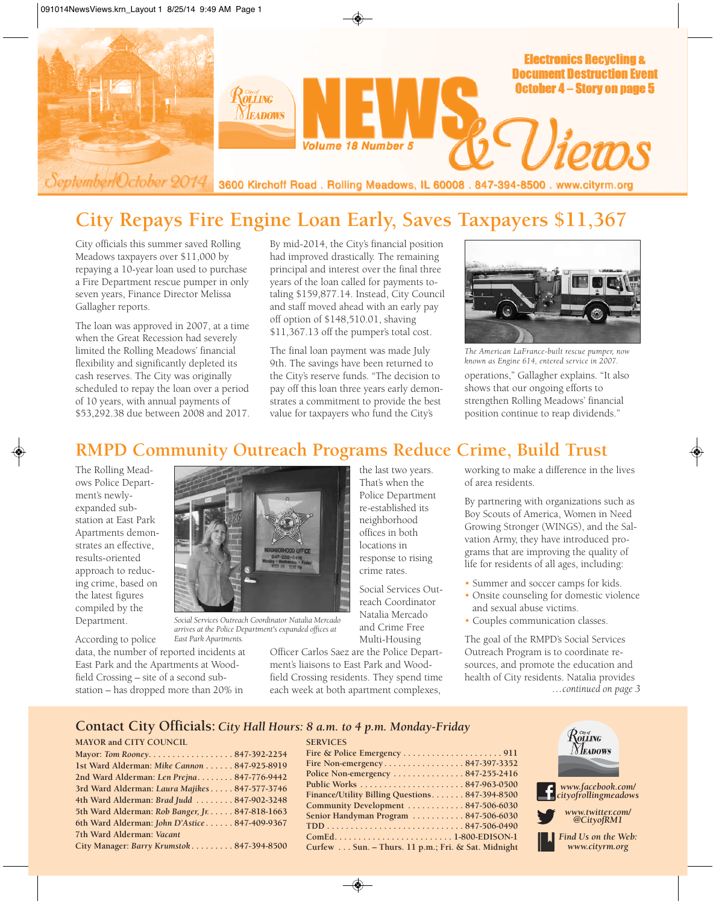

# **City Repays Fire Engine Loan Early, Saves Taxpayers \$11,367**

City officials this summer saved Rolling Meadows taxpayers over \$11,000 by repaying a 10-year loan used to purchase a Fire Department rescue pumper in only seven years, Finance Director Melissa Gallagher reports.

The loan was approved in 2007, at a time when the Great Recession had severely limited the Rolling Meadows' financial flexibility and significantly depleted its cash reserves. The City was originally scheduled to repay the loan over a period of 10 years, with annual payments of \$53,292.38 due between 2008 and 2017. By mid-2014, the City's financial position had improved drastically. The remaining principal and interest over the final three years of the loan called for payments totaling \$159,877.14. Instead, City Council and staff moved ahead with an early pay off option of \$148,510.01, shaving \$11,367.13 off the pumper's total cost.

The final loan payment was made July 9th. The savings have been returned to the City's reserve funds. "The decision to pay off this loan three years early demonstrates a commitment to provide the best value for taxpayers who fund the City's

> the last two years. That's when the Police Department re-established its neighborhood offices in both locations in response to rising crime rates.

Social Services Outreach Coordinator Natalia Mercado and Crime Free Multi-Housing



operations," Gallagher explains. "It also shows that our ongoing efforts to strengthen Rolling Meadows' financial position continue to reap dividends." *The American LaFrance-built rescue pumper, now known as Engine 614, entered service in 2007.*

## **RMPD Community Outreach Programs Reduce Crime, Build Trust**

The Rolling Meadows Police Department's newlyexpanded substation at East Park Apartments demonstrates an effective, results-oriented approach to reducing crime, based on the latest figures compiled by the Department.



*Social Services Outreach Coordinator Natalia Mercado arrives at the Police Department's expanded offices at East Park Apartments.*

Officer Carlos Saez are the Police Department's liaisons to East Park and Woodfield Crossing residents. They spend time each week at both apartment complexes,

**SERVICES**

working to make a difference in the lives of area residents.

By partnering with organizations such as Boy Scouts of America, Women in Need Growing Stronger (WINGS), and the Salvation Army, they have introduced programs that are improving the quality of life for residents of all ages, including:

- Summer and soccer camps for kids.
- Onsite counseling for domestic violence and sexual abuse victims.
- Couples communication classes.

The goal of the RMPD's Social Services Outreach Program is to coordinate resources, and promote the education and health of City residents. Natalia provides *…continued on page 3*

According to police

data, the number of reported incidents at East Park and the Apartments at Woodfield Crossing – site of a second substation – has dropped more than 20% in

#### **Contact City Officials:** *City Hall Hours: 8 a.m. to 4 p.m. Monday-Friday*

#### **MAYOR and CITY COUNCIL**

| Mayor: Tom Rooney847-392-2254                   |  |
|-------------------------------------------------|--|
| 1st Ward Alderman: Mike Cannon 847-925-8919     |  |
| 2nd Ward Alderman: Len Prejna 847-776-9442      |  |
| 3rd Ward Alderman: Laura Majikes 847-577-3746   |  |
| 4th Ward Alderman: Brad Judd  847-902-3248      |  |
| 5th Ward Alderman: Rob Banger, Jr. 847-818-1663 |  |
| 6th Ward Alderman: John D'Astice 847-409-9367   |  |
| 7th Ward Alderman: Vacant                       |  |
| City Manager: Barry Krumstok 847-394-8500       |  |
|                                                 |  |

| Fire & Police Emergency 911                              |
|----------------------------------------------------------|
| Fire Non-emergency847-397-3352                           |
| Police Non-emergency $\dots\dots\dots\dots 847-255-2416$ |
|                                                          |
| Finance/Utility Billing Questions. 847-394-8500          |
| Community Development  847-506-6030                      |
| Senior Handyman Program 847-506-6030                     |
|                                                          |
|                                                          |
| Curfew Sun. - Thurs. 11 p.m.; Fri. & Sat. Midnight       |

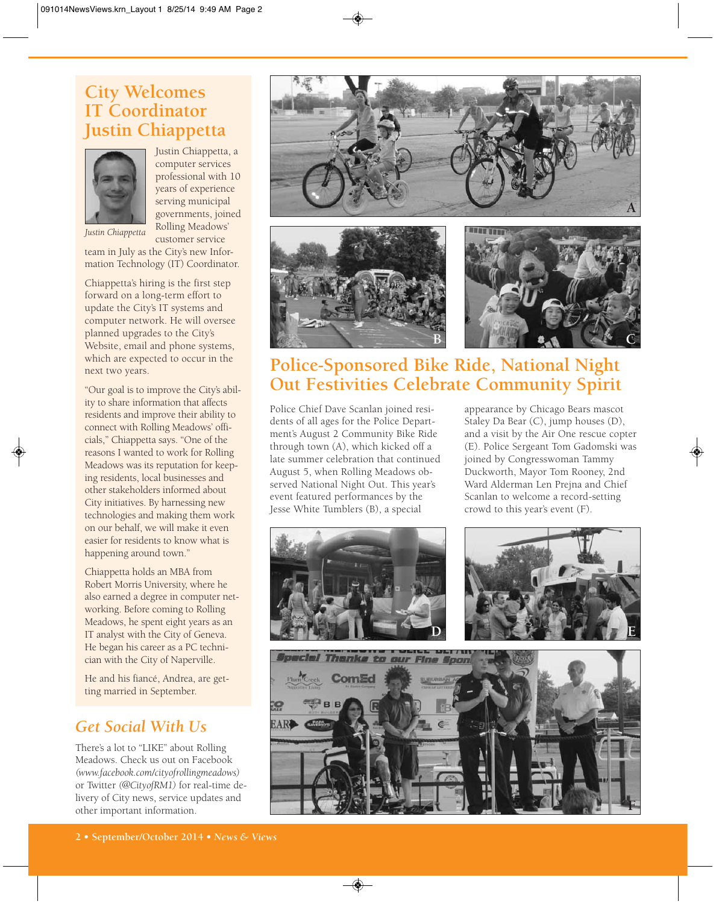## **City Welcomes IT Coordinator Justin Chiappetta**



Justin Chiappetta, a computer services professional with 10 years of experience serving municipal governments, joined Rolling Meadows' customer service

*Justin Chiappetta*

team in July as the City's new Information Technology (IT) Coordinator.

Chiappetta's hiring is the first step forward on a long-term effort to update the City's IT systems and computer network. He will oversee planned upgrades to the City's Website, email and phone systems, which are expected to occur in the next two years.

"Our goal is to improve the City's ability to share information that affects residents and improve their ability to connect with Rolling Meadows' officials," Chiappetta says. "One of the reasons I wanted to work for Rolling Meadows was its reputation for keeping residents, local businesses and other stakeholders informed about City initiatives. By harnessing new technologies and making them work on our behalf, we will make it even easier for residents to know what is happening around town."

Chiappetta holds an MBA from Robert Morris University, where he also earned a degree in computer networking. Before coming to Rolling Meadows, he spent eight years as an IT analyst with the City of Geneva. He began his career as a PC technician with the City of Naperville.

He and his fiancé, Andrea, are getting married in September.

### *Get Social With Us*

There's a lot to "LIKE" about Rolling Meadows. Check us out on Facebook *(www.facebook.com/cityofrollingmeadows)* or Twitter *(@CityofRM1)* for real-time delivery of City news, service updates and other important information.







## **Police-Sponsored Bike Ride, National Night Out Festivities Celebrate Community Spirit**

Police Chief Dave Scanlan joined residents of all ages for the Police Department's August 2 Community Bike Ride through town (A), which kicked off a late summer celebration that continued August 5, when Rolling Meadows observed National Night Out. This year's event featured performances by the Jesse White Tumblers (B), a special

appearance by Chicago Bears mascot Staley Da Bear (C), jump houses (D), and a visit by the Air One rescue copter (E). Police Sergeant Tom Gadomski was joined by Congresswoman Tammy Duckworth, Mayor Tom Rooney, 2nd Ward Alderman Len Prejna and Chief Scanlan to welcome a record-setting crowd to this year's event (F).

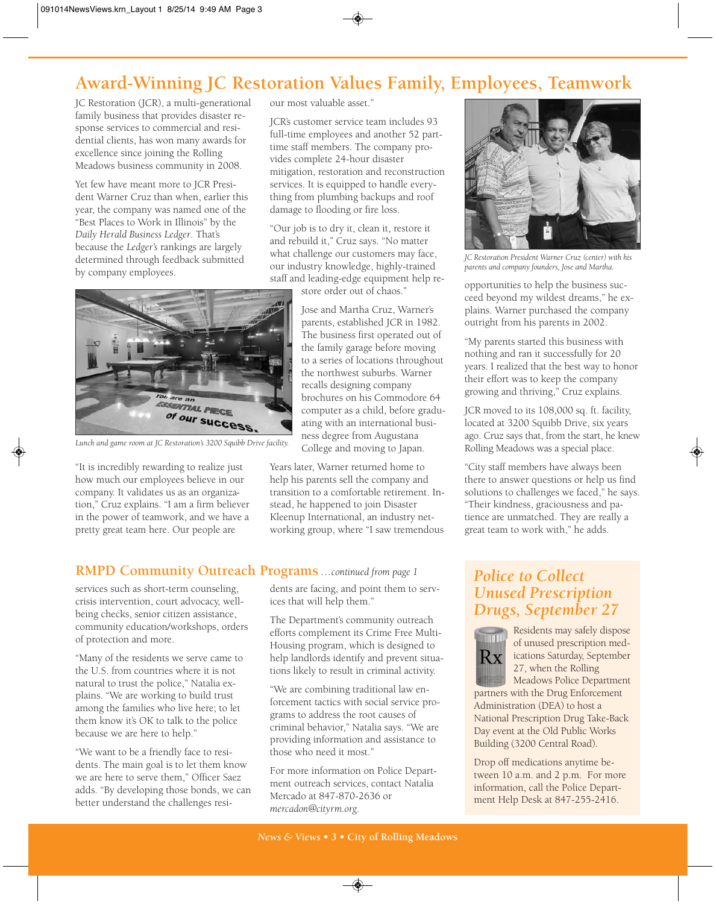## **Award-Winning JC Restoration Values Family, Employees, Teamwork**

JC Restoration (JCR), a multi-generational family business that provides disaster response services to commercial and residential clients, has won many awards for excellence since joining the Rolling Meadows business community in 2008.

Yet few have meant more to JCR President Warner Cruz than when, earlier this year, the company was named one of the "Best Places to Work in Illinois" by the *Daily Herald Business Ledger*. That's because the *Ledger's* rankings are largely determined through feedback submitted by company employees.



*Lunch and game room at JC Restoration's 3200 Squibb Drive facility.*

"It is incredibly rewarding to realize just how much our employees believe in our company. It validates us as an organization," Cruz explains. "I am a firm believer in the power of teamwork, and we have a pretty great team here. Our people are

our most valuable asset."

JCR's customer service team includes 93 full-time employees and another 52 parttime staff members. The company provides complete 24-hour disaster mitigation, restoration and reconstruction services. It is equipped to handle everything from plumbing backups and roof damage to flooding or fire loss.

"Our job is to dry it, clean it, restore it and rebuild it," Cruz says. "No matter what challenge our customers may face, our industry knowledge, highly-trained staff and leading-edge equipment help re-

store order out of chaos."

Jose and Martha Cruz, Warner's parents, established JCR in 1982. The business first operated out of the family garage before moving to a series of locations throughout the northwest suburbs. Warner recalls designing company brochures on his Commodore 64 computer as a child, before graduating with an international business degree from Augustana College and moving to Japan.

Years later, Warner returned home to help his parents sell the company and transition to a comfortable retirement. Instead, he happened to join Disaster Kleenup International, an industry networking group, where "I saw tremendous

#### **RMPD Community Outreach Programs** *…continued from page 1*

services such as short-term counseling, crisis intervention, court advocacy, wellbeing checks, senior citizen assistance, community education/workshops, orders of protection and more.

"Many of the residents we serve came to the U.S. from countries where it is not natural to trust the police," Natalia explains. "We are working to build trust among the families who live here; to let them know it's OK to talk to the police because we are here to help."

"We want to be a friendly face to residents. The main goal is to let them know we are here to serve them," Officer Saez adds. "By developing those bonds, we can better understand the challenges residents are facing, and point them to services that will help them."

The Department's community outreach efforts complement its Crime Free Multi-Housing program, which is designed to help landlords identify and prevent situations likely to result in criminal activity.

"We are combining traditional law enforcement tactics with social service programs to address the root causes of criminal behavior," Natalia says. "We are providing information and assistance to those who need it most."

For more information on Police Department outreach services, contact Natalia Mercado at 847-870-2636 or *mercadon@cityrm.org*.



*JC Restoration President Warner Cruz (center) with his parents and company founders, Jose and Martha.*

opportunities to help the business succeed beyond my wildest dreams," he explains. Warner purchased the company outright from his parents in 2002.

"My parents started this business with nothing and ran it successfully for 20 years. I realized that the best way to honor their effort was to keep the company growing and thriving," Cruz explains.

JCR moved to its 108,000 sq. ft. facility, located at 3200 Squibb Drive, six years ago. Cruz says that, from the start, he knew Rolling Meadows was a special place.

"City staff members have always been there to answer questions or help us find solutions to challenges we faced," he says. "Their kindness, graciousness and patience are unmatched. They are really a great team to work with," he adds.

### *Police to Collect Unused Prescription Drugs, September 27*



Residents may safely dispose of unused prescription medications Saturday, September 27, when the Rolling Meadows Police Department

partners with the Drug Enforcement Administration (DEA) to host a National Prescription Drug Take-Back Day event at the Old Public Works Building (3200 Central Road).

Drop off medications anytime between 10 a.m. and 2 p.m. For more information, call the Police Department Help Desk at 847-255-2416.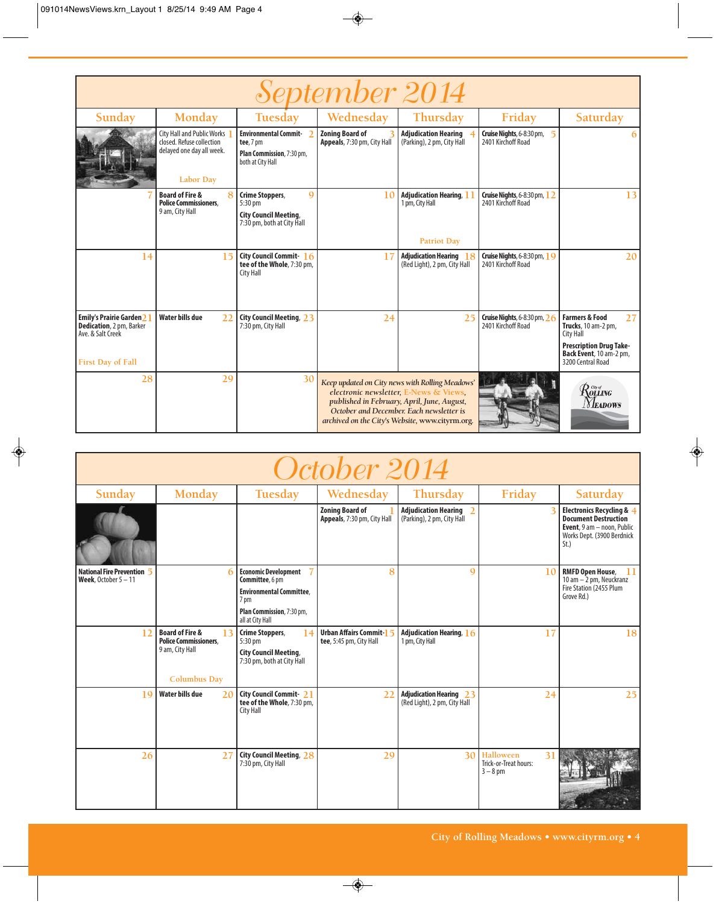| September 2014                                                                                                |                                                                                                          |                                                                                                         |                                                       |                                                                                                                                                                                                                                         |                                                                    |                                                                                                                                                              |  |  |
|---------------------------------------------------------------------------------------------------------------|----------------------------------------------------------------------------------------------------------|---------------------------------------------------------------------------------------------------------|-------------------------------------------------------|-----------------------------------------------------------------------------------------------------------------------------------------------------------------------------------------------------------------------------------------|--------------------------------------------------------------------|--------------------------------------------------------------------------------------------------------------------------------------------------------------|--|--|
| Sunday                                                                                                        | Monday                                                                                                   | Tuesday                                                                                                 | Wednesday                                             | Thursday                                                                                                                                                                                                                                | Friday                                                             | Saturday                                                                                                                                                     |  |  |
|                                                                                                               | City Hall and Public Works<br>closed. Refuse collection<br>delayed one day all week.<br><b>Labor Day</b> | <b>Environmental Commit-</b><br>tee, 7 pm<br>Plan Commission, 7:30 pm,<br>both at City Hall             | <b>Zoning Board of</b><br>Appeals, 7:30 pm, City Hall | <b>Adjudication Hearing</b><br>(Parking), 2 pm, City Hall                                                                                                                                                                               | Cruise Nights, 6-8:30 pm,<br>$5\overline{5}$<br>2401 Kirchoff Road |                                                                                                                                                              |  |  |
|                                                                                                               | <b>Board of Fire &amp;</b><br>$\mathbf{R}$<br><b>Police Commissioners,</b><br>9 am, City Hall            | Crime Stoppers,<br>$\mathbf Q$<br>5:30 pm<br><b>City Council Meeting,</b><br>7:30 pm, both at City Hall | 10                                                    | <b>Adjudication Hearing, 11</b><br>1 pm, City Hall<br><b>Patriot Day</b>                                                                                                                                                                | <b>Cruise Nights</b> , 6-8:30 pm, 12<br>2401 Kirchoff Road         | 13                                                                                                                                                           |  |  |
| 14                                                                                                            | 15                                                                                                       | City Council Commit- 16<br>tee of the Whole, 7:30 pm,<br><b>City Hall</b>                               | 17                                                    | <b>Adjudication Hearing</b><br>18<br>(Red Light), 2 pm, City Hall                                                                                                                                                                       | <b>Cruise Nights, 6-8:30 pm, 19</b><br>2401 Kirchoff Road          | 20                                                                                                                                                           |  |  |
| <b>Emily's Prairie Garden 2</b><br><b>Dedication</b> , 2 pm, Barker<br>Ave. & Salt Creek<br>First Day of Fall | Water bills due<br>22                                                                                    | <b>City Council Meeting, 23</b><br>7:30 pm, City Hall                                                   | 24                                                    | 25                                                                                                                                                                                                                                      | <b>Cruise Nights</b> , 6-8:30 pm, 26<br>2401 Kirchoff Road         | <b>Farmers &amp; Food</b><br>27<br>Trucks, 10 am-2 pm,<br><b>City Hall</b><br><b>Prescription Drug Take-</b><br>Back Event, 10 am-2 pm,<br>3200 Central Road |  |  |
| 28                                                                                                            | 29                                                                                                       | 30                                                                                                      |                                                       | Keep updated on City news with Rolling Meadows'<br>electronic newsletter, E-News & Views,<br>published in February, April, June, August,<br>October and December. Each newsletter is<br>archived on the City's Website, www.cityrm.org. |                                                                    | $\mathcal{R}^{\tiny{{\scriptscriptstyle{{G\!u\!v}}}}\!\!/}_{\!\!{\scriptscriptstyle{\rm{OLLING}}}}$<br><b>Neadows</b>                                        |  |  |

| October 2014                                            |                                                                                                            |                                                                                                                                            |                                                            |                                                                |                                                        |                                                                                                                                          |  |  |
|---------------------------------------------------------|------------------------------------------------------------------------------------------------------------|--------------------------------------------------------------------------------------------------------------------------------------------|------------------------------------------------------------|----------------------------------------------------------------|--------------------------------------------------------|------------------------------------------------------------------------------------------------------------------------------------------|--|--|
|                                                         |                                                                                                            |                                                                                                                                            |                                                            |                                                                |                                                        |                                                                                                                                          |  |  |
| Sunday                                                  | Monday                                                                                                     | Tuesday                                                                                                                                    | Wednesday                                                  | Thursday                                                       | Friday                                                 | Saturday                                                                                                                                 |  |  |
|                                                         |                                                                                                            |                                                                                                                                            | <b>Zoning Board of</b><br>Appeals, 7:30 pm, City Hall      | <b>Adjudication Hearing</b> 2<br>(Parking), 2 pm, City Hall    |                                                        | Electronics Recycling & 4<br><b>Document Destruction</b><br><b>Event</b> , $9$ am $-$ noon, Public<br>Works Dept. (3900 Berdnick<br>St.) |  |  |
| <b>National Fire Prevention</b><br>Week, October $5-11$ | 6                                                                                                          | <b>Economic Development</b><br>Committee, 6 pm<br><b>Environmental Committee.</b><br>7 pm<br>Plan Commission, 7:30 pm,<br>all at City Hall | 8                                                          | 9                                                              | 10                                                     | <b>RMFD Open House,</b><br>11<br>10 am - 2 pm, Neuckranz<br>Fire Station (2455 Plum<br>Grove Rd.)                                        |  |  |
| 12                                                      | <b>Board of Fire &amp;</b><br>13<br><b>Police Commissioners,</b><br>9 am, City Hall<br><b>Columbus Day</b> | Crime Stoppers,<br>14<br>5:30 pm<br><b>City Council Meeting,</b><br>7:30 pm, both at City Hall                                             | <b>Urban Affairs Commit-1 4</b><br>tee, 5:45 pm, City Hall | <b>Adjudication Hearing, 16</b><br>1 pm, City Hall             | 17                                                     | 18                                                                                                                                       |  |  |
| 1 <sub>q</sub>                                          | Water bills due<br>20                                                                                      | <b>City Council Commit-21</b><br>tee of the Whole, 7:30 pm,<br><b>City Hall</b>                                                            | 22                                                         | <b>Adjudication Hearing 23</b><br>(Red Light), 2 pm, City Hall | 24                                                     | 25                                                                                                                                       |  |  |
| 26                                                      | 27                                                                                                         | <b>City Council Meeting, 28</b><br>7:30 pm, City Hall                                                                                      | 29                                                         | 30                                                             | Halloween<br>31<br>Trick-or-Treat hours:<br>$3 - 8$ pm |                                                                                                                                          |  |  |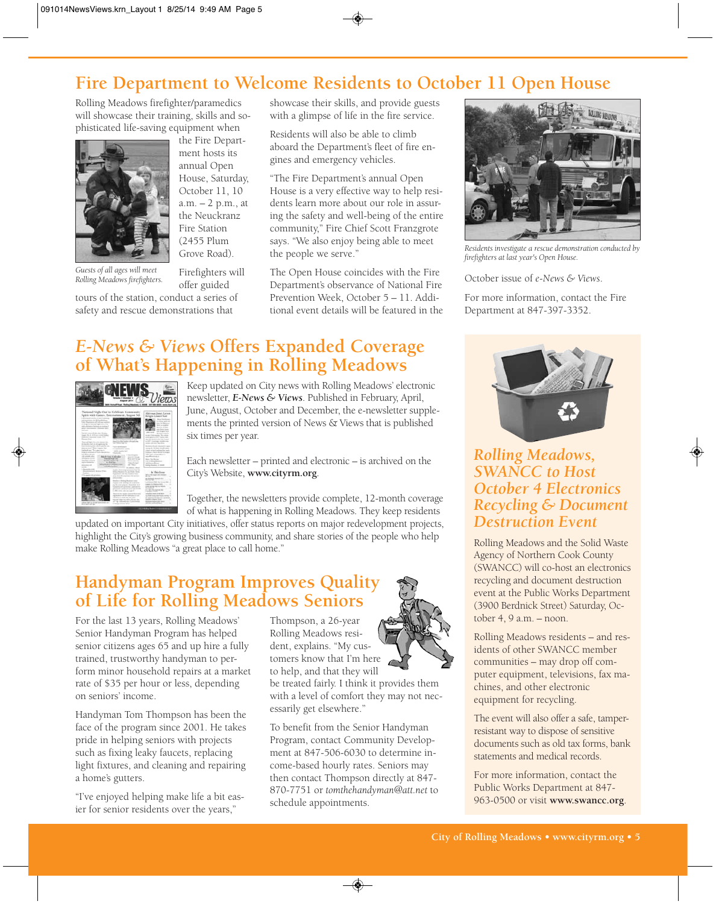## **Fire Department to Welcome Residents to October 11 Open House**

Rolling Meadows firefighter/paramedics will showcase their training, skills and sophisticated life-saving equipment when



*Guests of all ages will meet Rolling Meadows firefighters.*

offer guided tours of the station, conduct a series of safety and rescue demonstrations that

the Fire Department hosts its annual Open House, Saturday, October 11, 10 a.m. – 2 p.m., at the Neuckranz Fire Station (2455 Plum Grove Road).

Firefighters will

showcase their skills, and provide guests with a glimpse of life in the fire service.

Residents will also be able to climb aboard the Department's fleet of fire engines and emergency vehicles.

"The Fire Department's annual Open House is a very effective way to help residents learn more about our role in assuring the safety and well-being of the entire community," Fire Chief Scott Franzgrote says. "We also enjoy being able to meet the people we serve."

The Open House coincides with the Fire Department's observance of National Fire Prevention Week, October 5 – 11. Additional event details will be featured in the

## *E-News & Views* **Offers Expanded Coverage of What's Happening in Rolling Meadows**



Keep updated on City news with Rolling Meadows' electronic newsletter, *E-News & Views*. Published in February, April, June, August, October and December, the e-newsletter supplements the printed version of News & Views that is published six times per year.

Each newsletter – printed and electronic – is archived on the City's Website, **www.cityrm.org**.

Together, the newsletters provide complete, 12-month coverage of what is happening in Rolling Meadows. They keep residents

updated on important City initiatives, offer status reports on major redevelopment projects, highlight the City's growing business community, and share stories of the people who help make Rolling Meadows "a great place to call home."

## **Handyman Program Improves Quality of Life for Rolling Meadows Seniors**

For the last 13 years, Rolling Meadows' Senior Handyman Program has helped senior citizens ages 65 and up hire a fully trained, trustworthy handyman to perform minor household repairs at a market rate of \$35 per hour or less, depending on seniors' income.

Handyman Tom Thompson has been the face of the program since 2001. He takes pride in helping seniors with projects such as fixing leaky faucets, replacing light fixtures, and cleaning and repairing a home's gutters.

"I've enjoyed helping make life a bit easier for senior residents over the years,"

Thompson, a 26-year Rolling Meadows resident, explains. "My customers know that I'm here to help, and that they will

be treated fairly. I think it provides them with a level of comfort they may not necessarily get elsewhere."

To benefit from the Senior Handyman Program, contact Community Development at 847-506-6030 to determine income-based hourly rates. Seniors may then contact Thompson directly at 847- 870-7751 or *tomthehandyman@att.net* to schedule appointments.



*Residents investigate a rescue demonstration conducted by firefighters at last year's Open House.*

October issue of *e-News & Views*.

For more information, contact the Fire Department at 847-397-3352.



### *Rolling Meadows, SWANCC to Host October 4 Electronics Recycling & Document Destruction Event*

Rolling Meadows and the Solid Waste Agency of Northern Cook County (SWANCC) will co-host an electronics recycling and document destruction event at the Public Works Department (3900 Berdnick Street) Saturday, October 4, 9 a.m. – noon.

Rolling Meadows residents – and residents of other SWANCC member communities – may drop off computer equipment, televisions, fax machines, and other electronic equipment for recycling.

The event will also offer a safe, tamperresistant way to dispose of sensitive documents such as old tax forms, bank statements and medical records.

For more information, contact the Public Works Department at 847- 963-0500 or visit **www.swancc.org**.